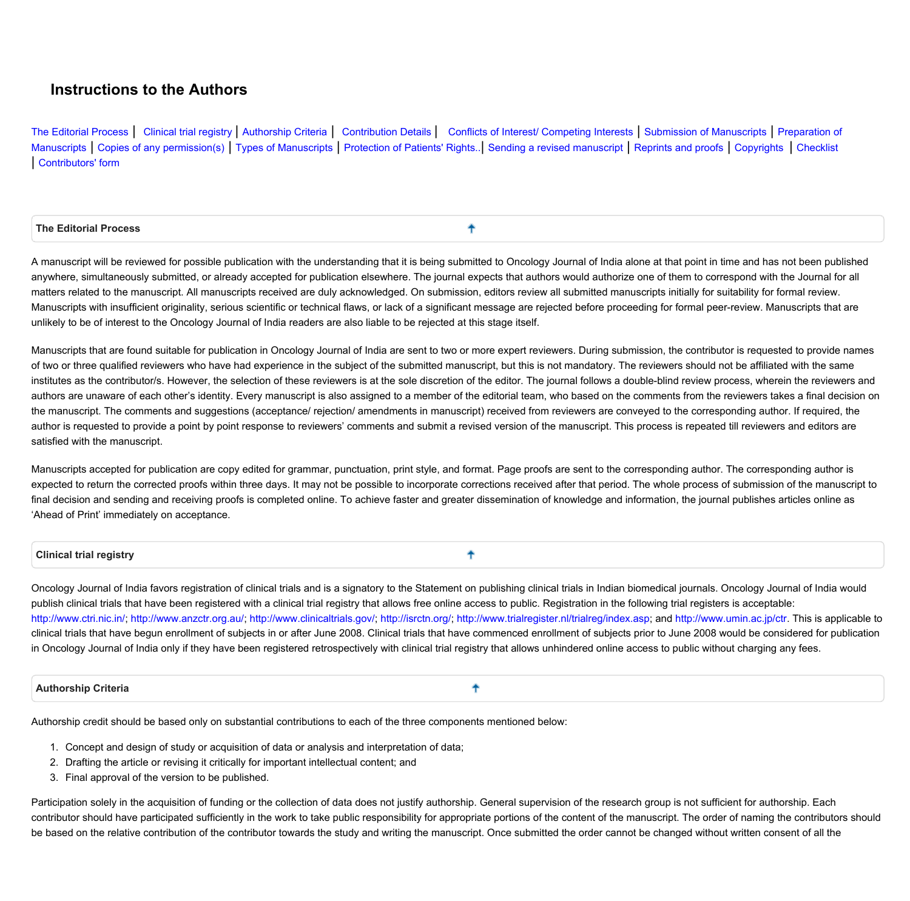# **Instructions to the Authors**

[The](#page-0-0) [Editorial](#page-0-0) [Process](#page-0-0) | [Clinical](#page-0-1) [trial](#page-0-1) [registry](#page-0-1) [|](#page-0-1) [Authorship](#page-0-2) [Criteria](#page-0-2) | [Contribution](#page-1-0) [Details](#page-1-0) | [Conflicts](#page-1-1) [of](#page-2-0) [Interest/](#page-1-1) [Competing](#page-1-1) [Interests](#page-1-1) | [Submission](#page-1-2) of [Manuscripts](#page-1-2) | [Preparation](#page-2-0) of [Manuscripts](#page-2-2) | [Copies](#page-2-1) [of](#page-6-0) [any](#page-2-1) [permission\(s\)](#page-2-1) | [Types](#page-2-2) of Manuscripts | [Protection](#page-6-0) of [Patients'](#page-6-0) [Rights..](#page-6-0) | [Sending](#page-6-1) [a](#page-6-1) [revised](#page-6-1) [manuscript](#page-6-1) | [Reprints](#page-6-2) [and](#page-6-2) [proofs](#page-6-2) | [Copyrights](#page-6-3) [|](#page-6-3) [Checklist](#page-7-0) **| [Contributors'](#page-8-0) [form](#page-8-0)**

## <span id="page-0-0"></span> **The Editorial Process**

A manuscript will be reviewed for possible publication with the understanding that it is being submitted to Oncology Journal of India alone at that point in time and has not been published anywhere, simultaneously submitted, or already accepted for publication elsewhere. The journal expects that authors would authorize one of them to correspond with the Journal for all matters related to the manuscript. All manuscripts received are duly acknowledged. On submission, editors review all submitted manuscripts initially for suitability for formal review. Manuscripts with insufficient originality, serious scientific or technical flaws, or lack of a significant message are rejected before proceeding for formal peer-review. Manuscripts that are unlikely to be of interest to the Oncology Journal of India readers are also liable to be rejected at this stage itself.

牛

Manuscripts that are found suitable for publication in Oncology Journal of India are sent to two or more expert reviewers. During submission, the contributor is requested to provide names of two or three qualified reviewers who have had experience in the subject of the submitted manuscript, but this is not mandatory. The reviewers should not be affiliated with the same institutes as the contributor/s. However, the selection of these reviewers is at the sole discretion of the editor. The journal follows a double-blind review process, wherein the reviewers and authors are unaware of each other's identity. Every manuscript is also assigned to a member of the editorial team, who based on the comments from the reviewers takes a final decision on the manuscript. The comments and suggestions (acceptance/ rejection/ amendments in manuscript) received from reviewers are conveyed to the corresponding author. If required, the author is requested to provide a point by point response to reviewers' comments and submit a revised version of the manuscript. This process is repeated till reviewers and editors are **satisfied with the manuscript.**

Manuscripts accepted for publication are copy edited for grammar, punctuation, print style, and format. Page proofs are sent to the corresponding author. The corresponding author is expected to return the corrected proofs within three days. It may not be possible to incorporate corrections received after that period. The whole process of submission of the manuscript to final decision and sending and receiving proofs is completed online. To achieve faster and greater dissemination of knowledge and information, the journal publishes articles online as **'Ahead of Print' immediately on acceptance.**

#### <span id="page-0-1"></span> **Clinical trial registry**

Oncology Journal of India favors registration of clinical trials and is a signatory to the Statement on publishing clinical trials in Indian biomedical journals. Oncology Journal of India would publish clinical trials that have been registered with a clinical trial registry that allows free online access to public. Registration in the following trial registers is acceptable: [http://www.ctri.nic.in/](http://www.ctri.in/); [http://www.anzctr.org.au/;](http://www.actr.org.au/) [http://www.clinicaltrials.gov/;](https://www.clinicaltrials.gov/) [http://isrctn.org/;](http://isrctn.org/) <http://www.trialregister.nl/trialreg/index.asp>; and [http://www.umin.ac.jp/ctr.](http://www.umin.ac.jp/ctr) This is applicable to clinical trials that have begun enrollment of subjects in or after June 2008. Clinical trials that have commenced enrollment of subjects prior to June 2008 would be considered for publication in Oncology Journal of India only if they have been registered retrospectively with clinical trial registry that allows unhindered online access to public without charging any fees.

个

## <span id="page-0-2"></span> **Authorship Criteria**

╇

Authorship credit should be based only on substantial contributions to each of the three components mentioned below:

- **1. Concept and design of study or acquisition of data or analysis and interpretation of data;**
- **2. Drafting the article or revising it critically for important intellectual content; and**
- **3. Final approval of the version to be published.**

Participation solely in the acquisition of funding or the collection of data does not justify authorship. General supervision of the research group is not sufficient for authorship. Each contributor should have participated sufficiently in the work to take public responsibility for appropriate portions of the content of the manuscript. The order of naming the contributors should be based on the relative contribution of the contributor towards the study and writing the manuscript. Once submitted the order cannot be changed without written consent of all the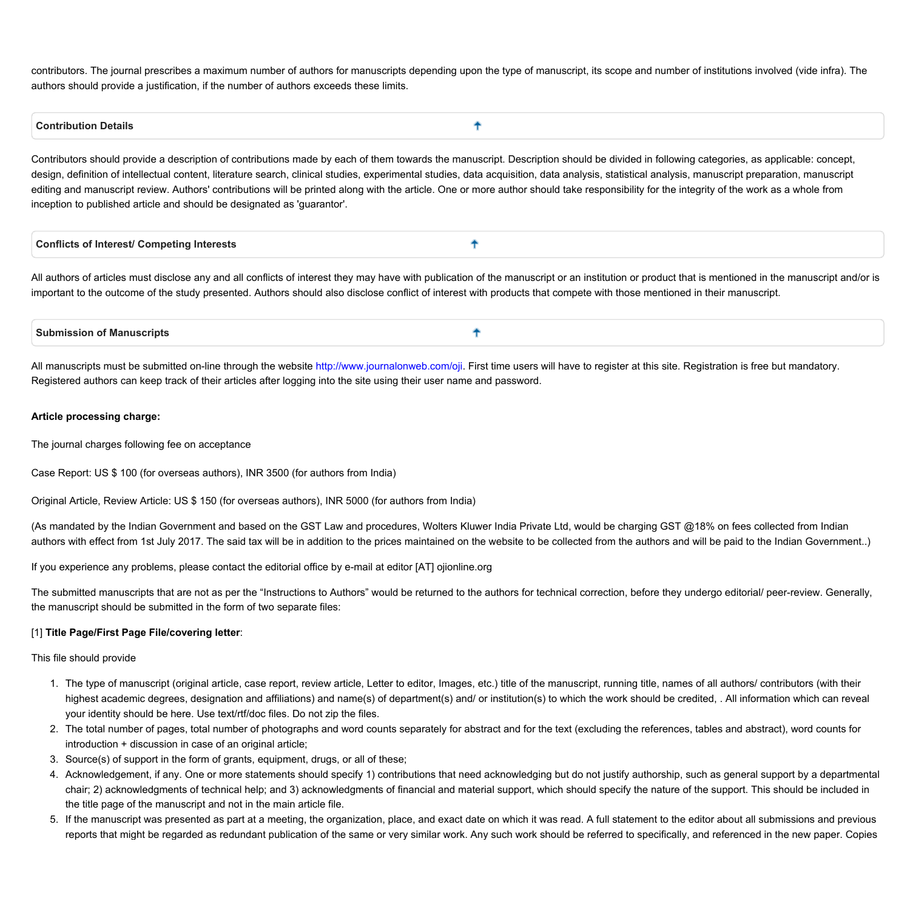contributors. The journal prescribes a maximum number of authors for manuscripts depending upon the type of manuscript, its scope and number of institutions involved (vide infra). The **authors should provide a justification, if the number of authors exceeds these limits.**

Ť

#### <span id="page-1-0"></span> **Contribution Details**

Contributors should provide a description of contributions made by each of them towards the manuscript. Description should be divided in following categories, as applicable: concept, design, definition of intellectual content, literature search, clinical studies, experimental studies, data acquisition, data analysis, statistical analysis, manuscript preparation, manuscript editing and manuscript review. Authors' contributions will be printed along with the article. One or more author should take responsibility for the integrity of the work as a whole from **inception to published article and should be designated as 'guarantor'.** 

<span id="page-1-1"></span>

| <b>Conflicts of Interest/ Competing Interests</b> |
|---------------------------------------------------|
|---------------------------------------------------|

All authors of articles must disclose any and all conflicts of interest they may have with publication of the manuscript or an institution or product that is mentioned in the manuscript and/or is important to the outcome of the study presented. Authors should also disclose conflict of interest with products that compete with those mentioned in their manuscript.

<span id="page-1-2"></span>

| <b>Submission of Manuscripts</b> |  |
|----------------------------------|--|
|                                  |  |

All manuscripts must be submitted on-line through the website [http://www.journalonweb.com/oji.](http://www.journalonweb.com/oji) First time users will have to register at this site. Registration is free but mandatory. Registered authors can keep track of their articles after logging into the site using their user name and password.

#### **Article processing charge:**

**The journal charges following fee on acceptance**

**Case Report: US \$ 100 (for overseas authors), INR 3500 (for authors from India)**

**Original Article, Review Article: US \$ 150 (for overseas authors), INR 5000 (for authors from India)**

(As mandated by the Indian Government and based on the GST Law and procedures, Wolters Kluwer India Private Ltd, would be charging GST @18% on fees collected from Indian authors with effect from 1st July 2017. The said tax will be in addition to the prices maintained on the website to be collected from the authors and will be paid to the Indian Government..)

**If you experience any problems, please contact the editorial office by e-mail at editor [AT] ojionline.org**

The submitted manuscripts that are not as per the "Instructions to Authors" would be returned to the authors for technical correction, before they undergo editorial/ peer-review. Generally, **the manuscript should be submitted in the form of two separate files:**

## **[1] Title Page/First Page File/covering letter:**

**This file should provide**

- 1. The type of manuscript (original article, case report, review article, Letter to editor, Images, etc.) title of the manuscript, running title, names of all authors/ contributors (with their highest academic degrees, designation and affiliations) and name(s) of department(s) and/ or institution(s) to which the work should be credited, . All information which can reveal **your identity should be here. Use text/rtf/doc files. Do not zip the files.**
- 2. The total number of pages, total number of photographs and word counts separately for abstract and for the text (excluding the references, tables and abstract), word counts for **introduction + discussion in case of an original article;**
- **3. Source(s) of support in the form of grants, equipment, drugs, or all of these;**
- 4. Acknowledgement, if any. One or more statements should specify 1) contributions that need acknowledging but do not justify authorship, such as general support by a departmental chair; 2) acknowledgments of technical help; and 3) acknowledgments of financial and material support, which should specify the nature of the support. This should be included in **the title page of the manuscript and not in the main article file.**
- 5. If the manuscript was presented as part at a meeting, the organization, place, and exact date on which it was read. A full statement to the editor about all submissions and previous reports that might be regarded as redundant publication of the same or very similar work. Any such work should be referred to specifically, and referenced in the new paper. Copies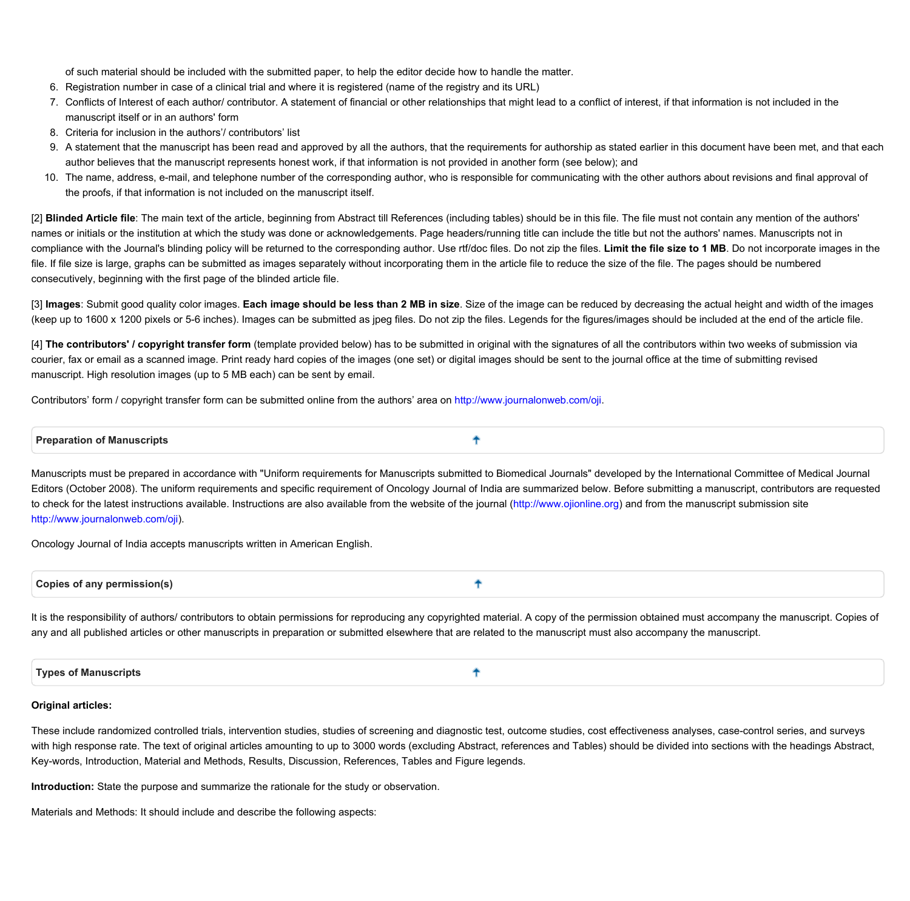of such material should be included with the submitted paper, to help the editor decide how to handle the matter.

- 6. Registration number in case of a clinical trial and where it is registered (name of the registry and its URL)
- 7. Conflicts of Interest of each author/contributor. A statement of financial or other relationships that might lead to a conflict of interest, if that information is not included in the **manuscript itself or in an authors' form**
- **8. Criteria for inclusion in the authors'/ contributors' list**
- 9. A statement that the manuscript has been read and approved by all the authors, that the requirements for authorship as stated earlier in this document have been met, and that each author believes that the manuscript represents honest work, if that information is not provided in another form (see below); and
- 10. The name, address, e-mail, and telephone number of the corresponding author, who is responsible for communicating with the other authors about revisions and final approval of **the proofs, if that information is not included on the manuscript itself.**

[2] Blinded Article file: The main text of the article, beginning from Abstract till References (including tables) should be in this file. The file must not contain any mention of the authors' names or initials or the institution at which the study was done or acknowledgements. Page headers/running title can include the title but not the authors' names. Manuscripts not in compliance with the Journal's blinding policy will be returned to the corresponding author. Use rtf/doc files. Do not zip the files. Limit the file size to 1 MB. Do not incorporate images in the file. If file size is large, graphs can be submitted as images separately without incorporating them in the article file to reduce the size of the file. The pages should be numbered **consecutively, beginning with the first page of the blinded article file.**

[3] Images: Submit good quality color images. Each image should be less than 2 MB in size. Size of the image can be reduced by decreasing the actual height and width of the images (keep up to 1600 x 1200 pixels or 5-6 inches). Images can be submitted as jpeg files. Do not zip the files. Legends for the figures/images should be included at the end of the article file.

[4] The contributors' / copyright transfer form (template provided below) has to be submitted in original with the signatures of all the contributors within two weeks of submission via courier, fax or email as a scanned image. Print ready hard copies of the images (one set) or digital images should be sent to the journal office at the time of submitting revised **manuscript. High resolution images (up to 5 MB each) can be sent by email.**

Contributors' form / copyright transfer form can be submitted online from the authors' area on [http://www.journalonweb.com/oji.](http://www.journalonweb.com/oji)

<span id="page-2-0"></span> **Preparation of Manuscripts** ╇

Manuscripts must be prepared in accordance with "Uniform requirements for Manuscripts submitted to Biomedical Journals" developed by the International Committee of Medical Journal Editors (October 2008). The uniform requirements and specific requirement of Oncology Journal of India are summarized below. Before submitting a manuscript, contributors are requested to check for the latest instructions available. Instructions are also available from the website of the journal [\(http://www.ojionline.org](https://www.ojionline.org)) and from the manuscript submission site **[http://www.journalonweb.com/oji\)](http://www.journalonweb.com/oji).**

**Oncology Journal of India accepts manuscripts written in American English.**

<span id="page-2-1"></span>

|--|--|

It is the responsibility of authors/ contributors to obtain permissions for reproducing any copyrighted material. A copy of the permission obtained must accompany the manuscript. Copies of any and all published articles or other manuscripts in preparation or submitted elsewhere that are related to the manuscript must also accompany the manuscript.

<span id="page-2-2"></span>

## **Original articles:**

These include randomized controlled trials, intervention studies, studies of screening and diagnostic test, outcome studies, cost effectiveness analyses, case-control series, and surveys with high response rate. The text of original articles amounting to up to 3000 words (excluding Abstract, references and Tables) should be divided into sections with the headings Abstract, **Key-words, Introduction, Material and Methods, Results, Discussion, References, Tables and Figure legends.**

**Introduction: State the purpose and summarize the rationale for the study or observation.** 

**Materials and Methods: It should include and describe the following aspects:**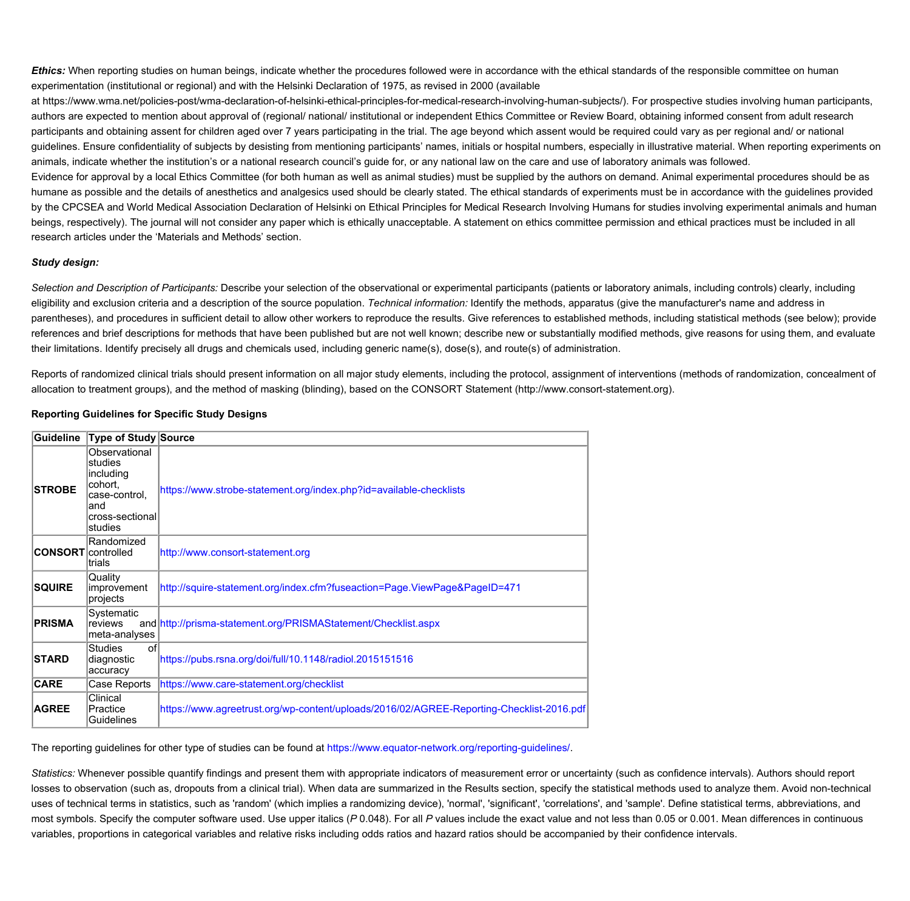Ethics: When reporting studies on human beings, indicate whether the procedures followed were in accordance with the ethical standards of the responsible committee on human experimentation (institutional or regional) and with the Helsinki Declaration of 1975, as revised in 2000 (available

at https://www.wma.net/policies-post/wma-declaration-of-helsinki-ethical-principles-for-medical-research-involving-human-subjects/). For prospective studies involving human participants, authors are expected to mention about approval of (regional/ national/ institutional or independent Ethics Committee or Review Board, obtaining informed consent from adult research participants and obtaining assent for children aged over 7 years participating in the trial. The age beyond which assent would be required could vary as per regional and/ or national guidelines. Ensure confidentiality of subjects by desisting from mentioning participants' names, initials or hospital numbers, especially in illustrative material. When reporting experiments on animals, indicate whether the institution's or a national research council's guide for, or any national law on the care and use of laboratory animals was followed.

Evidence for approval by a local Ethics Committee (for both human as well as animal studies) must be supplied by the authors on demand. Animal experimental procedures should be as humane as possible and the details of anesthetics and analgesics used should be clearly stated. The ethical standards of experiments must be in accordance with the guidelines provided by the CPCSEA and World Medical Association Declaration of Helsinki on Ethical Principles for Medical Research Involving Humans for studies involving experimental animals and human beings, respectively). The journal will not consider any paper which is ethically unacceptable. A statement on ethics committee permission and ethical practices must be included in all **research articles under the 'Materials and Methods' section.**

## *Study design:*

Selection and Description of Participants: Describe your selection of the observational or experimental participants (patients or laboratory animals, including controls) clearly, including eligibility and exclusion criteria and a description of the source population. Technical information: Identify the methods, apparatus (give the manufacturer's name and address in parentheses), and procedures in sufficient detail to allow other workers to reproduce the results. Give references to established methods, including statistical methods (see below); provide references and brief descriptions for methods that have been published but are not well known; describe new or substantially modified methods, give reasons for using them, and evaluate their limitations. Identify precisely all drugs and chemicals used, including generic name(s), dose(s), and route(s) of administration.

Reports of randomized clinical trials should present information on all major study elements, including the protocol, assignment of interventions (methods of randomization, concealment of allocation to treatment groups), and the method of masking (blinding), based on the CONSORT Statement (http://www.consort-statement.org).

## **Reporting Guidelines for Specific Study Designs**

| Guideline                 | Type of Study Source                                                                                   |                                                                                          |
|---------------------------|--------------------------------------------------------------------------------------------------------|------------------------------------------------------------------------------------------|
| <b>STROBE</b>             | Observational<br>studies<br>including<br>cohort,<br>case-control.<br>and<br>cross-sectional<br>studies | https://www.strobe-statement.org/index.php?id=available-checklists                       |
| <b>CONSORT</b> controlled | Randomized<br>trials                                                                                   | http://www.consort-statement.org                                                         |
| <b>SQUIRE</b>             | Quality<br>improvement<br>projects                                                                     | http://squire-statement.org/index.cfm?fuseaction=Page.ViewPage&PageID=471                |
| <b>PRISMA</b>             | Systematic<br>reviews<br>meta-analyses                                                                 | and http://prisma-statement.org/PRISMAStatement/Checklist.aspx                           |
| <b>STARD</b>              | <b>Studies</b><br>οf<br>diagnostic<br>accuracy                                                         | https://pubs.rsna.org/doi/full/10.1148/radiol.2015151516                                 |
| <b>CARE</b>               | Case Reports                                                                                           | https://www.care-statement.org/checklist                                                 |
| <b>AGREE</b>              | Clinical<br>Practice<br>Guidelines                                                                     | https://www.agreetrust.org/wp-content/uploads/2016/02/AGREE-Reporting-Checklist-2016.pdf |

**The reporting guidelines for other type of studies can be found at <https://www.equator-network.org/reporting-guidelines/>.** 

Statistics: Whenever possible quantify findings and present them with appropriate indicators of measurement error or uncertainty (such as confidence intervals). Authors should report losses to observation (such as, dropouts from a clinical trial). When data are summarized in the Results section, specify the statistical methods used to analyze them. Avoid non-technical uses of technical terms in statistics, such as 'random' (which implies a randomizing device), 'normal', 'significant', 'correlations', and 'sample'. Define statistical terms, abbreviations, and most symbols. Specify the computer software used. Use upper italics (P0.048). For all P values include the exact value and not less than 0.05 or 0.001. Mean differences in continuous variables, proportions in categorical variables and relative risks including odds ratios and hazard ratios should be accompanied by their confidence intervals.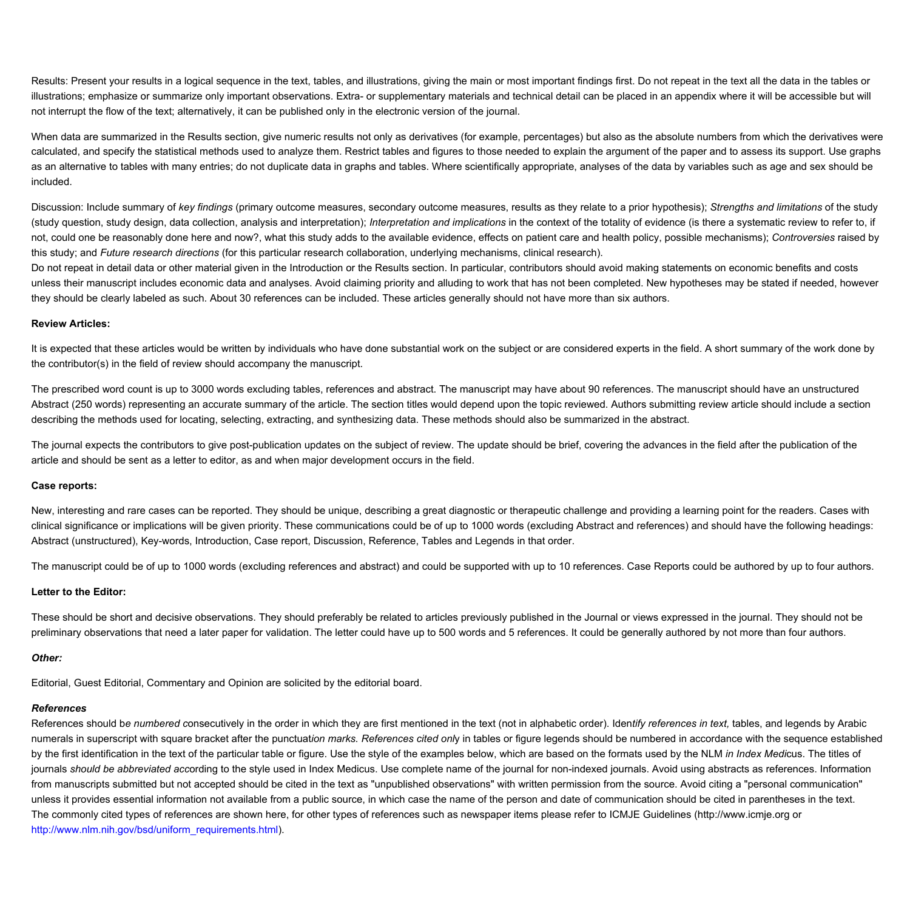Results: Present your results in a logical sequence in the text, tables, and illustrations, giving the main or most important findings first. Do not repeat in the text all the data in the tables or illustrations; emphasize or summarize only important observations. Extra- or supplementary materials and technical detail can be placed in an appendix where it will be accessible but will not interrupt the flow of the text; alternatively, it can be published only in the electronic version of the journal.

When data are summarized in the Results section, give numeric results not only as derivatives (for example, percentages) but also as the absolute numbers from which the derivatives were calculated, and specify the statistical methods used to analyze them. Restrict tables and figures to those needed to explain the argument of the paper and to assess its support. Use graphs as an alternative to tables with many entries; do not duplicate data in graphs and tables. Where scientifically appropriate, analyses of the data by variables such as age and sex should be **included.**

Discussion: Include summary of key findings (primary outcome measures, secondary outcome measures, results as they relate to a prior hypothesis); Strengths and limitations of the study (study question, study design, data collection, analysis and interpretation); Interpretation and implications in the context of the totality of evidence (is there a systematic review to refer to, if not, could one be reasonably done here and now?, what this study adds to the available evidence, effects on patient care and health policy, possible mechanisms); Controversies raised by this study; and Future research directions (for this particular research collaboration, underlying mechanisms, clinical research).

Do not repeat in detail data or other material given in the Introduction or the Results section. In particular, contributors should avoid making statements on economic benefits and costs unless their manuscript includes economic data and analyses. Avoid claiming priority and alluding to work that has not been completed. New hypotheses may be stated if needed, however they should be clearly labeled as such. About 30 references can be included. These articles generally should not have more than six authors.

#### **Review Articles:**

It is expected that these articles would be written by individuals who have done substantial work on the subject or are considered experts in the field. A short summary of the work done by **the contributor(s) in the field of review should accompany the manuscript.**

The prescribed word count is up to 3000 words excluding tables, references and abstract. The manuscript may have about 90 references. The manuscript should have an unstructured Abstract (250 words) representing an accurate summary of the article. The section titles would depend upon the topic reviewed. Authors submitting review article should include a section describing the methods used for locating, selecting, extracting, and synthesizing data. These methods should also be summarized in the abstract.

The journal expects the contributors to give post-publication updates on the subject of review. The update should be brief, covering the advances in the field after the publication of the article and should be sent as a letter to editor, as and when major development occurs in the field.

#### **Case reports:**

New, interesting and rare cases can be reported. They should be unique, describing a great diagnostic or therapeutic challenge and providing a learning point for the readers. Cases with clinical significance or implications will be given priority. These communications could be of up to 1000 words (excluding Abstract and references) and should have the following headings: **Abstract (unstructured), Key-words, Introduction, Case report, Discussion, Reference, Tables and Legends in that order.**

The manuscript could be of up to 1000 words (excluding references and abstract) and could be supported with up to 10 references. Case Reports could be authored by up to four authors.

## **Letter to the Editor:**

These should be short and decisive observations. They should preferably be related to articles previously published in the Journal or views expressed in the journal. They should not be preliminary observations that need a later paper for validation. The letter could have up to 500 words and 5 references. It could be generally authored by not more than four authors.

## *Other:*

**Editorial, Guest Editorial, Commentary and Opinion are solicited by the editorial board.**

# *References*

References should be numbered consecutively in the order in which they are first mentioned in the text (not in alphabetic order). Identify references in text, tables, and legends by Arabic numerals in superscript with square bracket after the punctuation marks. References cited only in tables or figure legends should be numbered in accordance with the sequence established by the first identification in the text of the particular table or figure. Use the style of the examples below, which are based on the formats used by the NLM in Index Medicus. The titles of journals should be abbreviated according to the style used in Index Medicus. Use complete name of the journal for non-indexed journals. Avoid using abstracts as references. Information from manuscripts submitted but not accepted should be cited in the text as "unpublished observations" with written permission from the source. Avoid citing a "personal communication" unless it provides essential information not available from a public source, in which case the name of the person and date of communication should be cited in parentheses in the text. The commonly cited types of references are shown here, for other types of references such as newspaper items please refer to ICMJE Guidelines (http://www.icmje.org or **[http://www.nlm.nih.gov/bsd/uniform\\_requirements.html\)](https://www.nlm.nih.gov/bsd/uniform_requirements.html).**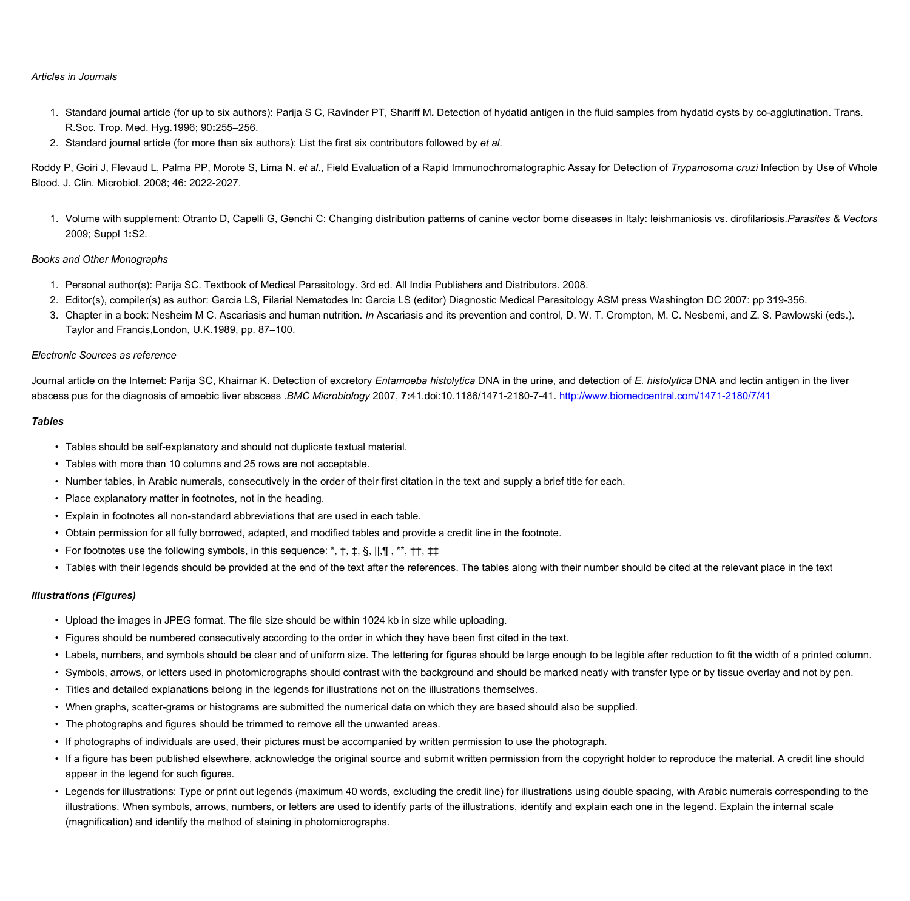## *Articles in Journals*

- 1. Standard journal article (for up to six authors): Parija S C, Ravinder PT, Shariff M. Detection of hydatid antigen in the fluid samples from hydatid cysts by co-agglutination. Trans. **R.Soc. Trop. Med. Hyg.1996; 90:255–256.**
- 2. Standard journal article (for more than six authors): List the first six contributors followed by et al.

Roddy P, Goiri J, Flevaud L, Palma PP, Morote S, Lima N. et al., Field Evaluation of a Rapid Immunochromatographic Assay for Detection of Trypanosoma cruzi Infection by Use of Whole **Blood. J. Clin. Microbiol. 2008; 46: 2022-2027.**

1. Volume with supplement: Otranto D, Capelli G, Genchi C: Changing distribution patterns of canine vector borne diseases in Italy: leishmaniosis vs. dirofilariosis. Parasites & Vectors **2009; Suppl 1:S2.** 

#### *Books and Other Monographs*

- 1. Personal author(s): Parija SC. Textbook of Medical Parasitology. 3rd ed. All India Publishers and Distributors. 2008.
- 2. Editor(s), compiler(s) as author: Garcia LS, Filarial Nematodes In: Garcia LS (editor) Diagnostic Medical Parasitology ASM press Washington DC 2007: pp 319-356.
- 3. Chapter in a book: Nesheim M C. Ascariasis and human nutrition. In Ascariasis and its prevention and control, D. W. T. Crompton, M. C. Nesbemi, and Z. S. Pawlowski (eds.). **Taylor and Francis,London, U.K.1989, pp. 87–100.**

#### *Electronic Sources as reference*

Journal article on the Internet: Parija SC, Khairnar K. Detection of excretory Entamoeba histolytica DNA in the urine, and detection of E. histolytica DNA and lectin antigen in the liver abscess pus for the diagnosis of amoebic liver abscess .BMC Microbiology 2007, 7:41.doi:10.1186/1471-2180-7-41.[http://www.biomedcentral.com/1471-2180/7/41](https://www.biomedcentral.com/1471-2180/7/41)

#### *Tables*

- **• Tables should be self-explanatory and should not duplicate textual material.**
- **• Tables with more than 10 columns and 25 rows are not acceptable.**
- Number tables, in Arabic numerals, consecutively in the order of their first citation in the text and supply a brief title for each.
- **• Place explanatory matter in footnotes, not in the heading.**
- **• Explain in footnotes all non-standard abbreviations that are used in each table.**
- Obtain permission for all fully borrowed, adapted, and modified tables and provide a credit line in the footnote.
- **• For footnotes use the following symbols, in this sequence: \*, †, ‡, §, ||,¶ , \*\*, ††, ‡‡**
- Tables with their legends should be provided at the end of the text after the references. The tables along with their number should be cited at the relevant place in the text

## *Illustrations (Figures)*

- Upload the images in JPEG format. The file size should be within 1024 kb in size while uploading.
- Figures should be numbered consecutively according to the order in which they have been first cited in the text.
- Labels, numbers, and symbols should be clear and of uniform size. The lettering for figures should be large enough to be legible after reduction to fit the width of a printed column.
- Symbols, arrows, or letters used in photomicrographs should contrast with the background and should be marked neatly with transfer type or by tissue overlay and not by pen.
- **• Titles and detailed explanations belong in the legends for illustrations not on the illustrations themselves.**
- When graphs, scatter-grams or histograms are submitted the numerical data on which they are based should also be supplied.
- **• The photographs and figures should be trimmed to remove all the unwanted areas.**
- If photographs of individuals are used, their pictures must be accompanied by written permission to use the photograph.
- If a figure has been published elsewhere, acknowledge the original source and submit written permission from the copyright holder to reproduce the material. A credit line should **appear in the legend for such figures.**
- Legends for illustrations: Type or print out legends (maximum 40 words, excluding the credit line) for illustrations using double spacing, with Arabic numerals corresponding to the illustrations. When symbols, arrows, numbers, or letters are used to identify parts of the illustrations, identify and explain each one in the legend. Explain the internal scale **(magnification) and identify the method of staining in photomicrographs.**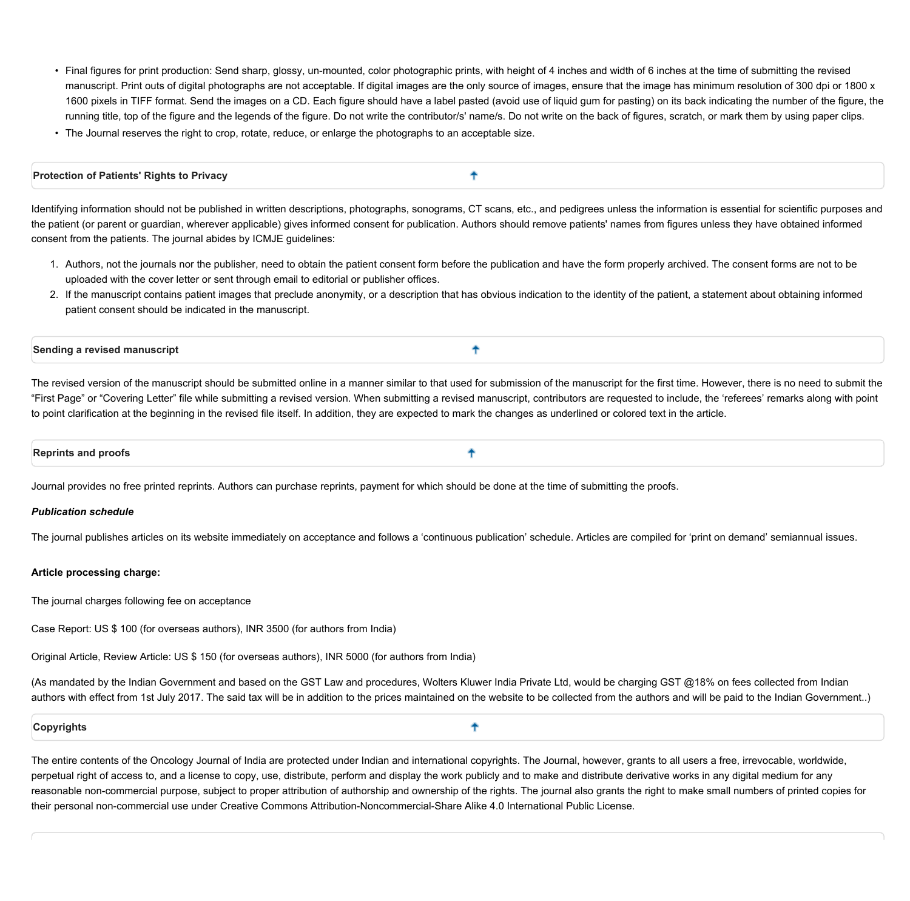• Final figures for print production: Send sharp, glossy, un-mounted, color photographic prints, with height of 4 inches and width of 6 inches at the time of submitting the revised manuscript. Print outs of digital photographs are not acceptable. If digital images are the only source of images, ensure that the image has minimum resolution of 300 dpi or 1800 x 1600 pixels in TIFF format. Send the images on a CD. Each figure should have a label pasted (avoid use of liquid gum for pasting) on its back indicating the number of the figure, the running title, top of the figure and the legends of the figure. Do not write the contributor/s' name/s. Do not write on the back of figures, scratch, or mark them by using paper clips.

٠

• The Journal reserves the right to crop, rotate, reduce, or enlarge the photographs to an acceptable size.

## <span id="page-6-0"></span>**Protection of Patients' Rights to Privacy**

Identifying information should not be published in written descriptions, photographs, sonograms, CT scans, etc., and pedigrees unless the information is essential for scientific purposes and the patient (or parent or guardian, wherever applicable) gives informed consent for publication. Authors should remove patients' names from figures unless they have obtained informed **consent from the patients. The journal abides by ICMJE guidelines:**

- 1. Authors, not the journals nor the publisher, need to obtain the patient consent form before the publication and have the form properly archived. The consent forms are not to be **uploaded with the cover letter or sent through email to editorial or publisher offices.**
- 2. If the manuscript contains patient images that preclude anonymity, or a description that has obvious indication to the identity of the patient, a statement about obtaining informed **patient consent should be indicated in the manuscript.**

#### <span id="page-6-1"></span>**Sending a revised manuscript**

The revised version of the manuscript should be submitted online in a manner similar to that used for submission of the manuscript for the first time. However, there is no need to submit the "First Page" or "Covering Letter" file while submitting a revised version. When submitting a revised manuscript, contributors are requested to include, the 'referees' remarks along with point to point clarification at the beginning in the revised file itself. In addition, they are expected to mark the changes as underlined or colored text in the article.

╇

<span id="page-6-2"></span>牛 **Reprints and proofs** 

Journal provides no free printed reprints. Authors can purchase reprints, payment for which should be done at the time of submitting the proofs.

#### *Publication schedule*

The journal publishes articles on its website immediately on acceptance and follows a 'continuous publication' schedule. Articles are compiled for 'print on demand' semiannual issues.

#### **Article processing charge:**

**The journal charges following fee on acceptance**

**Case Report: US \$ 100 (for overseas authors), INR 3500 (for authors from India)**

**Original Article, Review Article: US \$ 150 (for overseas authors), INR 5000 (for authors from India)**

(As mandated by the Indian Government and based on the GST Law and procedures, Wolters Kluwer India Private Ltd, would be charging GST @18% on fees collected from Indian authors with effect from 1st July 2017. The said tax will be in addition to the prices maintained on the website to be collected from the authors and will be paid to the Indian Government..)

٠

#### <span id="page-6-3"></span>**Copyrights**

The entire contents of the Oncology Journal of India are protected under Indian and international copyrights. The Journal, however, grants to all users a free, irrevocable, worldwide, perpetual right of access to, and a license to copy, use, distribute, perform and display the work publicly and to make and distribute derivative works in any digital medium for any reasonable non-commercial purpose, subject to proper attribution of authorship and ownership of the rights. The journal also grants the right to make small numbers of printed copies for **their personal non-commercial use under Creative Commons Attribution-Noncommercial-Share Alike 4.0 International Public License.**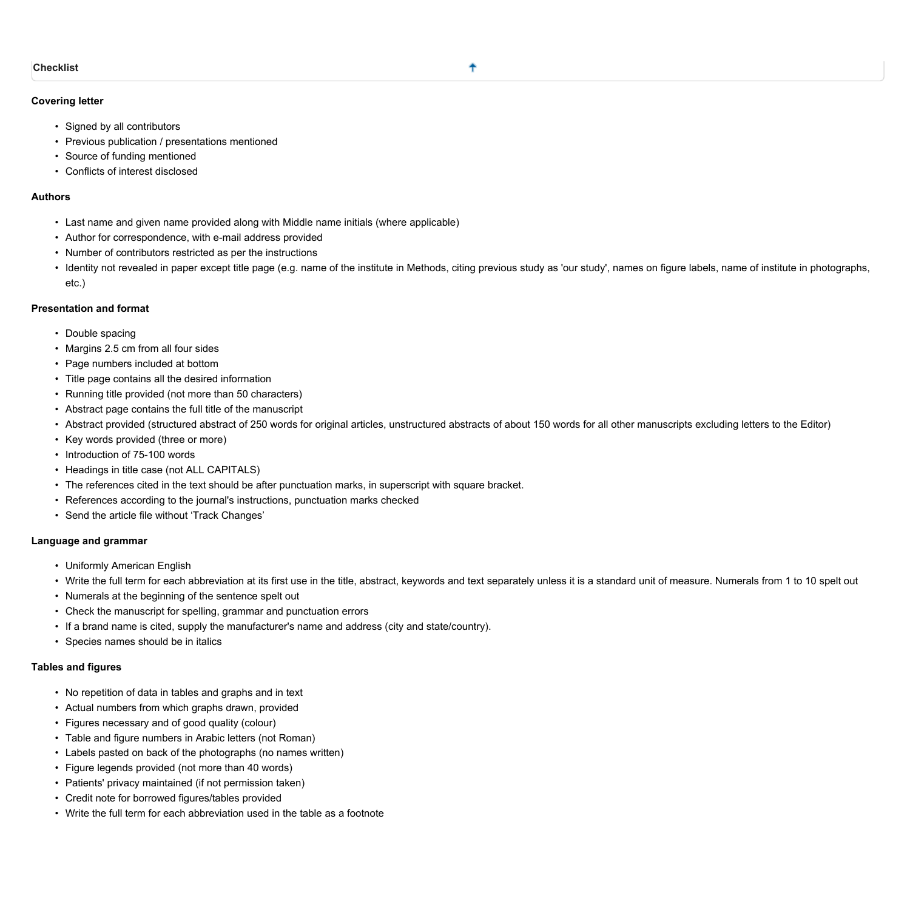## <span id="page-7-0"></span>**Covering letter**

- **• Signed by all contributors**
- **• Previous publication / presentations mentioned**
- **• Source of funding mentioned**
- **• Conflicts of interest disclosed**

#### **Authors**

- **• Last name and given name provided along with Middle name initials (where applicable)**
- **• Author for correspondence, with e-mail address provided**
- **• Number of contributors restricted as per the instructions**
- · Identity not revealed in paper except title page (e.g. name of the institute in Methods, citing previous study as 'our study', names on figure labels, name of institute in photographs, **etc.)**

## **Presentation and format**

- **• Double spacing**
- **• Margins 2.5 cm from all four sides**
- **• Page numbers included at bottom**
- **• Title page contains all the desired information**
- **• Running title provided (not more than 50 characters)**
- **• Abstract page contains the full title of the manuscript**
- Abstract provided (structured abstract of 250 words for original articles, unstructured abstracts of about 150 words for all other manuscripts excluding letters to the Editor)
- **• Key words provided (three or more)**
- **• Introduction of 75-100 words**
- **• Headings in title case (not ALL CAPITALS)**
- **• The references cited in the text should be after punctuation marks, in superscript with square bracket.**
- **• References according to the journal's instructions, punctuation marks checked**
- **• Send the article file without 'Track Changes'**

#### **Language and grammar**

- **• Uniformly American English**
- Write the full term for each abbreviation at its first use in the title, abstract, keywords and text separately unless it is a standard unit of measure. Numerals from 1 to 10 spelt out
- **• Numerals at the beginning of the sentence spelt out**
- **• Check the manuscript for spelling, grammar and punctuation errors**
- **• If a brand name is cited, supply the manufacturer's name and address (city and state/country).**
- **• Species names should be in italics**

#### **Tables and figures**

- **• No repetition of data in tables and graphs and in text**
- **• Actual numbers from which graphs drawn, provided**
- **• Figures necessary and of good quality (colour)**
- **• Table and figure numbers in Arabic letters (not Roman)**
- **• Labels pasted on back of the photographs (no names written)**
- **• Figure legends provided (not more than 40 words)**
- **• Patients' privacy maintained (if not permission taken)**
- **• Credit note for borrowed figures/tables provided**
- **• Write the full term for each abbreviation used in the table as a footnote**